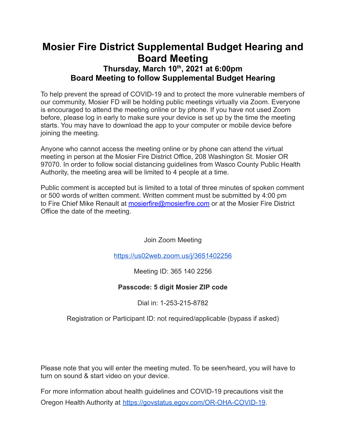## **Mosier Fire District Supplemental Budget Hearing and Board Meeting Thursday, March 10 th , 2021 at 6:00pm Board Meeting to follow Supplemental Budget Hearing**

To help prevent the spread of COVID-19 and to protect the more vulnerable members of our community, Mosier FD will be holding public meetings virtually via Zoom. Everyone is encouraged to attend the meeting online or by phone. If you have not used Zoom before, please log in early to make sure your device is set up by the time the meeting starts. You may have to download the app to your computer or mobile device before joining the meeting.

Anyone who cannot access the meeting online or by phone can attend the virtual meeting in person at the Mosier Fire District Office, 208 Washington St. Mosier OR 97070. In order to follow social distancing guidelines from Wasco County Public Health Authority, the meeting area will be limited to 4 people at a time.

Public comment is accepted but is limited to a total of three minutes of spoken comment or 500 words of written comment. Written comment must be submitted by 4:00 pm to Fire Chief Mike Renault at [mosierfire@mosierfire.com](mailto:mosierfire@mosierfire.com) or at the Mosier Fire District Office the date of the meeting.

Join Zoom Meeting

<https://us02web.zoom.us/j/3651402256>

Meeting ID: 365 140 2256

### **Passcode: 5 digit Mosier ZIP code**

Dial in: 1-253-215-8782

Registration or Participant ID: not required/applicable (bypass if asked)

Please note that you will enter the meeting muted. To be seen/heard, you will have to turn on sound & start video on your device.

For more information about health guidelines and COVID-19 precautions visit the Oregon Health Authority at [https://govstatus.egov.com/OR-OHA-COVID-19.](https://govstatus.egov.com/OR-OHA-COVID-19)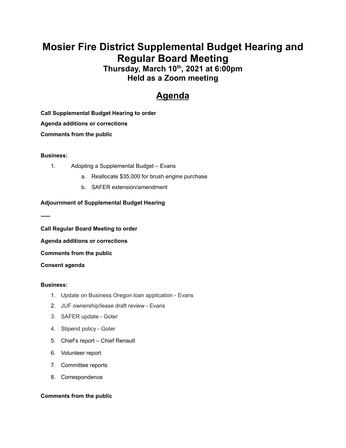# **Mosier Fire District Supplemental Budget Hearing and Regular Board Meeting**

**Thursday, March 10 th , 2021 at 6:00pm Held as a Zoom meeting**

## **Agenda**

**Call Supplemental Budget Hearing to order Agenda additions or corrections Comments from the public**

#### **Business:**

- 1. Adopting a Supplemental Budget Evans
	- a. Reallocate \$35,000 for brush engine purchase
	- b. SAFER extension/amendment

#### **Adjournment of Supplemental Budget Hearing**

**-----**

**Call Regular Board Meeting to order**

**Agenda additions or corrections**

**Comments from the public**

**Consent agenda**

#### **Business:**

- 1. Update on Business Oregon loan application Evans
- 2. JUF ownership/lease draft review Evans
- 3. SAFER update Goter
- 4. Stipend policy Goter
- 5. Chief's report Chief Renault
- 6. Volunteer report
- 7. Committee reports
- 8. Correspondence

#### **Comments from the public**